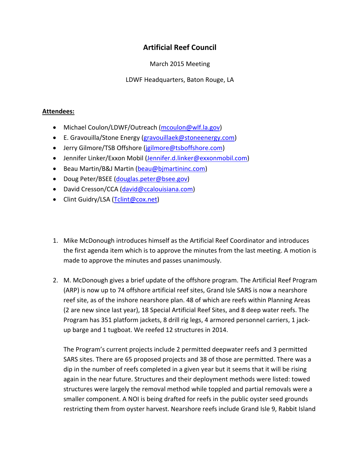## **Artificial Reef Council**

March 2015 Meeting

LDWF Headquarters, Baton Rouge, LA

## **Attendees:**

- Michael Coulon/LDWF/Outreach (mcoulon@wlf.la.gov)
- E. Gravouilla/Stone Energy (gravouillaek@stoneenergy.com)
- Jerry Gilmore/TSB Offshore (jgilmore@tsboffshore.com)
- Jennifer Linker/Exxon Mobil (Jennifer.d.linker@exxonmobil.com)
- Beau Martin/B&J Martin (beau@bimartininc.com)
- Doug Peter/BSEE (douglas.peter@bsee.gov)
- David Cresson/CCA (david@ccalouisiana.com)
- Clint Guidry/LSA (Tclint@cox.net)
- 1. Mike McDonough introduces himself as the Artificial Reef Coordinator and introduces the first agenda item which is to approve the minutes from the last meeting. A motion is made to approve the minutes and passes unanimously.
- 2. M. McDonough gives a brief update of the offshore program. The Artificial Reef Program (ARP) is now up to 74 offshore artificial reef sites, Grand Isle SARS is now a nearshore reef site, as of the inshore nearshore plan. 48 of which are reefs within Planning Areas (2 are new since last year), 18 Special Artificial Reef Sites, and 8 deep water reefs. The Program has 351 platform jackets, 8 drill rig legs, 4 armored personnel carriers, 1 jack‐ up barge and 1 tugboat. We reefed 12 structures in 2014.

The Program's current projects include 2 permitted deepwater reefs and 3 permitted SARS sites. There are 65 proposed projects and 38 of those are permitted. There was a dip in the number of reefs completed in a given year but it seems that it will be rising again in the near future. Structures and their deployment methods were listed: towed structures were largely the removal method while toppled and partial removals were a smaller component. A NOI is being drafted for reefs in the public oyster seed grounds restricting them from oyster harvest. Nearshore reefs include Grand Isle 9, Rabbit Island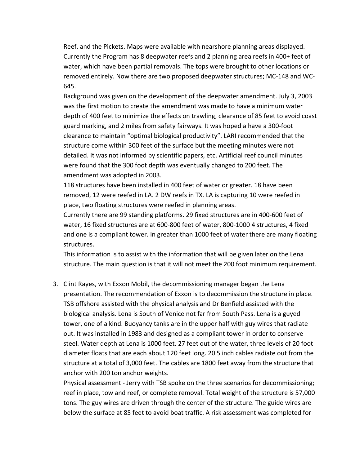Reef, and the Pickets. Maps were available with nearshore planning areas displayed. Currently the Program has 8 deepwater reefs and 2 planning area reefs in 400+ feet of water, which have been partial removals. The tops were brought to other locations or removed entirely. Now there are two proposed deepwater structures; MC‐148 and WC‐ 645.

Background was given on the development of the deepwater amendment. July 3, 2003 was the first motion to create the amendment was made to have a minimum water depth of 400 feet to minimize the effects on trawling, clearance of 85 feet to avoid coast guard marking, and 2 miles from safety fairways. It was hoped a have a 300‐foot clearance to maintain "optimal biological productivity". LARI recommended that the structure come within 300 feet of the surface but the meeting minutes were not detailed. It was not informed by scientific papers, etc. Artificial reef council minutes were found that the 300 foot depth was eventually changed to 200 feet. The amendment was adopted in 2003.

118 structures have been installed in 400 feet of water or greater. 18 have been removed, 12 were reefed in LA. 2 DW reefs in TX. LA is capturing 10 were reefed in place, two floating structures were reefed in planning areas.

Currently there are 99 standing platforms. 29 fixed structures are in 400‐600 feet of water, 16 fixed structures are at 600‐800 feet of water, 800‐1000 4 structures, 4 fixed and one is a compliant tower. In greater than 1000 feet of water there are many floating structures.

This information is to assist with the information that will be given later on the Lena structure. The main question is that it will not meet the 200 foot minimum requirement.

3. Clint Rayes, with Exxon Mobil, the decommissioning manager began the Lena presentation. The recommendation of Exxon is to decommission the structure in place. TSB offshore assisted with the physical analysis and Dr Benfield assisted with the biological analysis. Lena is South of Venice not far from South Pass. Lena is a guyed tower, one of a kind. Buoyancy tanks are in the upper half with guy wires that radiate out. It was installed in 1983 and designed as a compliant tower in order to conserve steel. Water depth at Lena is 1000 feet. 27 feet out of the water, three levels of 20 foot diameter floats that are each about 120 feet long. 20 5 inch cables radiate out from the structure at a total of 3,000 feet. The cables are 1800 feet away from the structure that anchor with 200 ton anchor weights.

Physical assessment ‐ Jerry with TSB spoke on the three scenarios for decommissioning; reef in place, tow and reef, or complete removal. Total weight of the structure is 57,000 tons. The guy wires are driven through the center of the structure. The guide wires are below the surface at 85 feet to avoid boat traffic. A risk assessment was completed for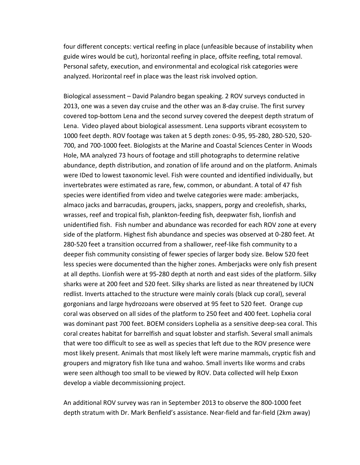four different concepts: vertical reefing in place (unfeasible because of instability when guide wires would be cut), horizontal reefing in place, offsite reefing, total removal. Personal safety, execution, and environmental and ecological risk categories were analyzed. Horizontal reef in place was the least risk involved option.

Biological assessment – David Palandro began speaking. 2 ROV surveys conducted in 2013, one was a seven day cruise and the other was an 8‐day cruise. The first survey covered top‐bottom Lena and the second survey covered the deepest depth stratum of Lena. Video played about biological assessment. Lena supports vibrant ecosystem to 1000 feet depth. ROV footage was taken at 5 depth zones: 0‐95, 95‐280, 280‐520, 520‐ 700, and 700‐1000 feet. Biologists at the Marine and Coastal Sciences Center in Woods Hole, MA analyzed 73 hours of footage and still photographs to determine relative abundance, depth distribution, and zonation of life around and on the platform. Animals were IDed to lowest taxonomic level. Fish were counted and identified individually, but invertebrates were estimated as rare, few, common, or abundant. A total of 47 fish species were identified from video and twelve categories were made: amberjacks, almaco jacks and barracudas, groupers, jacks, snappers, porgy and creolefish, sharks, wrasses, reef and tropical fish, plankton‐feeding fish, deepwater fish, lionfish and unidentified fish. Fish number and abundance was recorded for each ROV zone at every side of the platform. Highest fish abundance and species was observed at 0‐280 feet. At 280‐520 feet a transition occurred from a shallower, reef‐like fish community to a deeper fish community consisting of fewer species of larger body size. Below 520 feet less species were documented than the higher zones. Amberjacks were only fish present at all depths. Lionfish were at 95‐280 depth at north and east sides of the platform. Silky sharks were at 200 feet and 520 feet. Silky sharks are listed as near threatened by IUCN redlist. Inverts attached to the structure were mainly corals (black cup coral), several gorgonians and large hydrozoans were observed at 95 feet to 520 feet. Orange cup coral was observed on all sides of the platform to 250 feet and 400 feet. Lophelia coral was dominant past 700 feet. BOEM considers Lophelia as a sensitive deep‐sea coral. This coral creates habitat for barrelfish and squat lobster and starfish. Several small animals that were too difficult to see as well as species that left due to the ROV presence were most likely present. Animals that most likely left were marine mammals, cryptic fish and groupers and migratory fish like tuna and wahoo. Small inverts like worms and crabs were seen although too small to be viewed by ROV. Data collected will help Exxon develop a viable decommissioning project.

An additional ROV survey was ran in September 2013 to observe the 800‐1000 feet depth stratum with Dr. Mark Benfield's assistance. Near‐field and far‐field (2km away)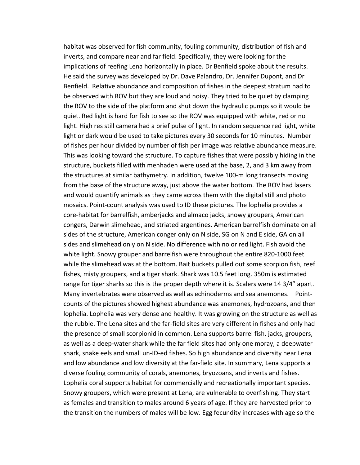habitat was observed for fish community, fouling community, distribution of fish and inverts, and compare near and far field. Specifically, they were looking for the implications of reefing Lena horizontally in place. Dr Benfield spoke about the results. He said the survey was developed by Dr. Dave Palandro, Dr. Jennifer Dupont, and Dr Benfield. Relative abundance and composition of fishes in the deepest stratum had to be observed with ROV but they are loud and noisy. They tried to be quiet by clamping the ROV to the side of the platform and shut down the hydraulic pumps so it would be quiet. Red light is hard for fish to see so the ROV was equipped with white, red or no light. High res still camera had a brief pulse of light. In random sequence red light, white light or dark would be used to take pictures every 30 seconds for 10 minutes. Number of fishes per hour divided by number of fish per image was relative abundance measure. This was looking toward the structure. To capture fishes that were possibly hiding in the structure, buckets filled with menhaden were used at the base, 2, and 3 km away from the structures at similar bathymetry. In addition, twelve 100‐m long transects moving from the base of the structure away, just above the water bottom. The ROV had lasers and would quantify animals as they came across them with the digital still and photo mosaics. Point‐count analysis was used to ID these pictures. The lophelia provides a core‐habitat for barrelfish, amberjacks and almaco jacks, snowy groupers, American congers, Darwin slimehead, and striated argentines. American barrelfish dominate on all sides of the structure, American conger only on N side, SG on N and E side, GA on all sides and slimehead only on N side. No difference with no or red light. Fish avoid the white light. Snowy grouper and barrelfish were throughout the entire 820-1000 feet while the slimehead was at the bottom. Bait buckets pulled out some scorpion fish, reef fishes, misty groupers, and a tiger shark. Shark was 10.5 feet long. 350m is estimated range for tiger sharks so this is the proper depth where it is. Scalers were 14 3/4" apart. Many invertebrates were observed as well as echinoderms and sea anemones. Pointcounts of the pictures showed highest abundance was anemones, hydrozoans, and then lophelia. Lophelia was very dense and healthy. It was growing on the structure as well as the rubble. The Lena sites and the far‐field sites are very different in fishes and only had the presence of small scorpionid in common. Lena supports barrel fish, jacks, groupers, as well as a deep-water shark while the far field sites had only one moray, a deepwater shark, snake eels and small un‐ID‐ed fishes. So high abundance and diversity near Lena and low abundance and low diversity at the far-field site. In summary, Lena supports a diverse fouling community of corals, anemones, bryozoans, and inverts and fishes. Lophelia coral supports habitat for commercially and recreationally important species. Snowy groupers, which were present at Lena, are vulnerable to overfishing. They start as females and transition to males around 6 years of age. If they are harvested prior to the transition the numbers of males will be low. Egg fecundity increases with age so the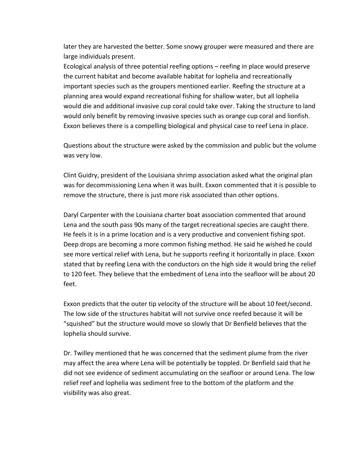later they are harvested the better. Some snowy grouper were measured and there are large individuals present.

Ecological analysis of three potential reefing options – reefing in place would preserve the current habitat and become available habitat for lophelia and recreationally important species such as the groupers mentioned earlier. Reefing the structure at a planning area would expand recreational fishing for shallow water, but all lophelia would die and additional invasive cup coral could take over. Taking the structure to land would only benefit by removing invasive species such as orange cup coral and lionfish. Exxon believes there is a compelling biological and physical case to reef Lena in place.

Questions about the structure were asked by the commission and public but the volume was very low.

Clint Guidry, president of the Louisiana shrimp association asked what the original plan was for decommissioning Lena when it was built. Exxon commented that it is possible to remove the structure, there is just more risk associated than other options.

Daryl Carpenter with the Louisiana charter boat association commented that around Lena and the south pass 90s many of the target recreational species are caught there. He feels it is in a prime location and is a very productive and convenient fishing spot. Deep drops are becoming a more common fishing method. He said he wished he could see more vertical relief with Lena, but he supports reefing it horizontally in place. Exxon stated that by reefing Lena with the conductors on the high side it would bring the relief to 120 feet. They believe that the embedment of Lena into the seafloor will be about 20 feet.

Exxon predicts that the outer tip velocity of the structure will be about 10 feet/second. The low side of the structures habitat will not survive once reefed because it will be "squished" but the structure would move so slowly that Dr Benfield believes that the lophelia should survive.

Dr. Twilley mentioned that he was concerned that the sediment plume from the river may affect the area where Lena will be potentially be toppled. Dr Benfield said that he did not see evidence of sediment accumulating on the seafloor or around Lena. The low relief reef and lophelia was sediment free to the bottom of the platform and the visibility was also great.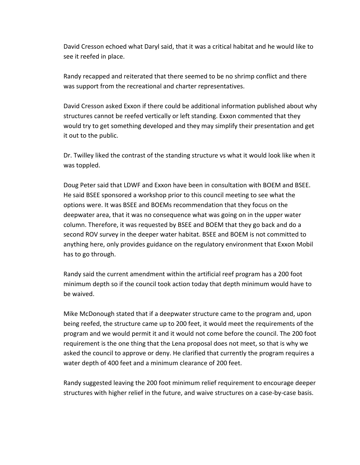David Cresson echoed what Daryl said, that it was a critical habitat and he would like to see it reefed in place.

Randy recapped and reiterated that there seemed to be no shrimp conflict and there was support from the recreational and charter representatives.

David Cresson asked Exxon if there could be additional information published about why structures cannot be reefed vertically or left standing. Exxon commented that they would try to get something developed and they may simplify their presentation and get it out to the public.

Dr. Twilley liked the contrast of the standing structure vs what it would look like when it was toppled.

Doug Peter said that LDWF and Exxon have been in consultation with BOEM and BSEE. He said BSEE sponsored a workshop prior to this council meeting to see what the options were. It was BSEE and BOEMs recommendation that they focus on the deepwater area, that it was no consequence what was going on in the upper water column. Therefore, it was requested by BSEE and BOEM that they go back and do a second ROV survey in the deeper water habitat. BSEE and BOEM is not committed to anything here, only provides guidance on the regulatory environment that Exxon Mobil has to go through.

Randy said the current amendment within the artificial reef program has a 200 foot minimum depth so if the council took action today that depth minimum would have to be waived.

Mike McDonough stated that if a deepwater structure came to the program and, upon being reefed, the structure came up to 200 feet, it would meet the requirements of the program and we would permit it and it would not come before the council. The 200 foot requirement is the one thing that the Lena proposal does not meet, so that is why we asked the council to approve or deny. He clarified that currently the program requires a water depth of 400 feet and a minimum clearance of 200 feet.

Randy suggested leaving the 200 foot minimum relief requirement to encourage deeper structures with higher relief in the future, and waive structures on a case-by-case basis.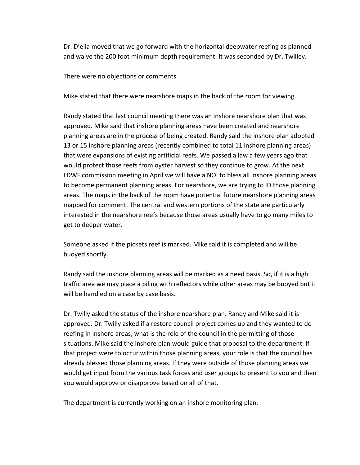Dr. D'elia moved that we go forward with the horizontal deepwater reefing as planned and waive the 200 foot minimum depth requirement. It was seconded by Dr. Twilley.

There were no objections or comments.

Mike stated that there were nearshore maps in the back of the room for viewing.

Randy stated that last council meeting there was an inshore nearshore plan that was approved. Mike said that inshore planning areas have been created and nearshore planning areas are in the process of being created. Randy said the inshore plan adopted 13 or 15 inshore planning areas (recently combined to total 11 inshore planning areas) that were expansions of existing artificial reefs. We passed a law a few years ago that would protect those reefs from oyster harvest so they continue to grow. At the next LDWF commission meeting in April we will have a NOI to bless all inshore planning areas to become permanent planning areas. For nearshore, we are trying to ID those planning areas. The maps in the back of the room have potential future nearshore planning areas mapped for comment. The central and western portions of the state are particularly interested in the nearshore reefs because those areas usually have to go many miles to get to deeper water.

Someone asked if the pickets reef is marked. Mike said it is completed and will be buoyed shortly.

Randy said the inshore planning areas will be marked as a need basis. So, if it is a high traffic area we may place a piling with reflectors while other areas may be buoyed but it will be handled on a case by case basis.

Dr. Twilly asked the status of the inshore nearshore plan. Randy and Mike said it is approved. Dr. Twilly asked if a restore council project comes up and they wanted to do reefing in inshore areas, what is the role of the council in the permitting of those situations. Mike said the inshore plan would guide that proposal to the department. If that project were to occur within those planning areas, your role is that the council has already blessed those planning areas. If they were outside of those planning areas we would get input from the various task forces and user groups to present to you and then you would approve or disapprove based on all of that.

The department is currently working on an inshore monitoring plan.